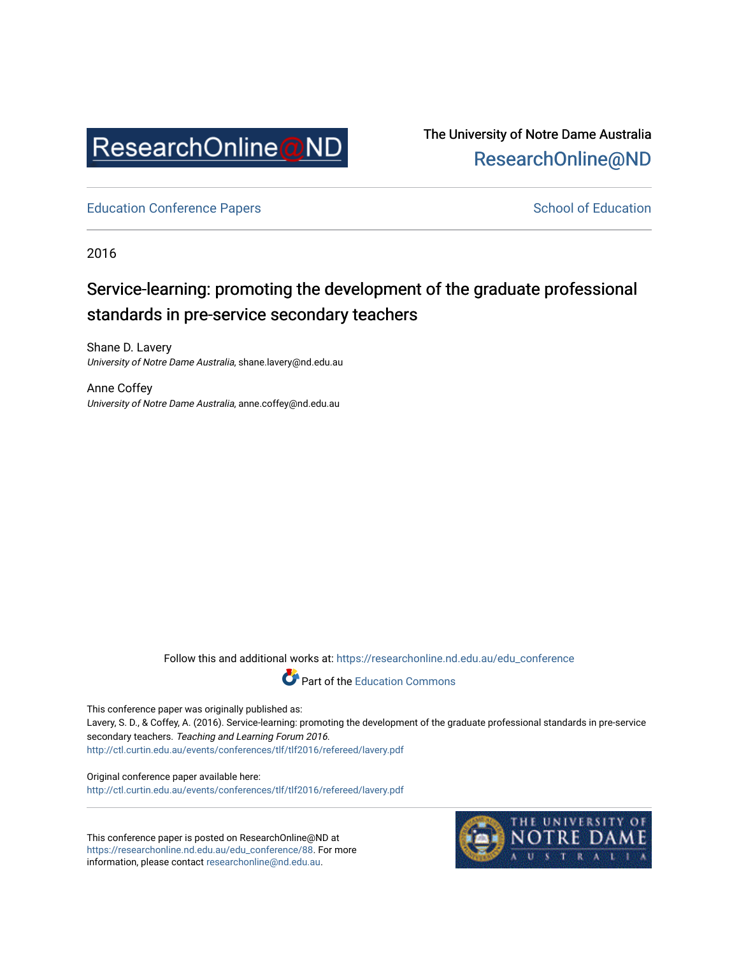

The University of Notre Dame Australia [ResearchOnline@ND](https://researchonline.nd.edu.au/) 

[Education Conference Papers](https://researchonline.nd.edu.au/edu_conference) **School of Education** School of Education

2016

# Service-learning: promoting the development of the graduate professional standards in pre-service secondary teachers

Shane D. Lavery University of Notre Dame Australia, shane.lavery@nd.edu.au

Anne Coffey University of Notre Dame Australia, anne.coffey@nd.edu.au

Follow this and additional works at: [https://researchonline.nd.edu.au/edu\\_conference](https://researchonline.nd.edu.au/edu_conference?utm_source=researchonline.nd.edu.au%2Fedu_conference%2F88&utm_medium=PDF&utm_campaign=PDFCoverPages)



This conference paper was originally published as:

Lavery, S. D., & Coffey, A. (2016). Service-learning: promoting the development of the graduate professional standards in pre-service secondary teachers. Teaching and Learning Forum 2016. <http://ctl.curtin.edu.au/events/conferences/tlf/tlf2016/refereed/lavery.pdf>

Original conference paper available here: <http://ctl.curtin.edu.au/events/conferences/tlf/tlf2016/refereed/lavery.pdf>

This conference paper is posted on ResearchOnline@ND at [https://researchonline.nd.edu.au/edu\\_conference/88.](https://researchonline.nd.edu.au/edu_conference/88) For more information, please contact [researchonline@nd.edu.au.](mailto:researchonline@nd.edu.au)

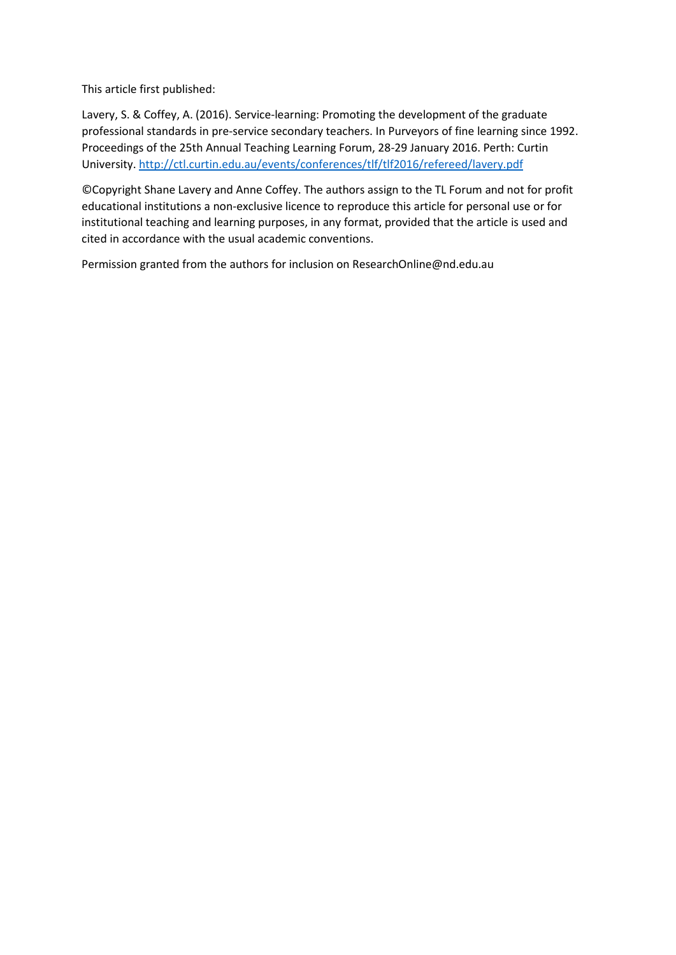This article first published:

Lavery, S. & Coffey, A. (2016). Service-learning: Promoting the development of the graduate professional standards in pre-service secondary teachers. In Purveyors of fine learning since 1992. Proceedings of the 25th Annual Teaching Learning Forum, 28-29 January 2016. Perth: Curtin University[. http://ctl.curtin.edu.au/events/conferences/tlf/tlf2016/refereed/lavery.pdf](http://ctl.curtin.edu.au/events/conferences/tlf/tlf2016/refereed/lavery.pdf)

©Copyright Shane Lavery and Anne Coffey. The authors assign to the TL Forum and not for profit educational institutions a non-exclusive licence to reproduce this article for personal use or for institutional teaching and learning purposes, in any format, provided that the article is used and cited in accordance with the usual academic conventions.

Permission granted from the authors for inclusion on ResearchOnline@nd.edu.au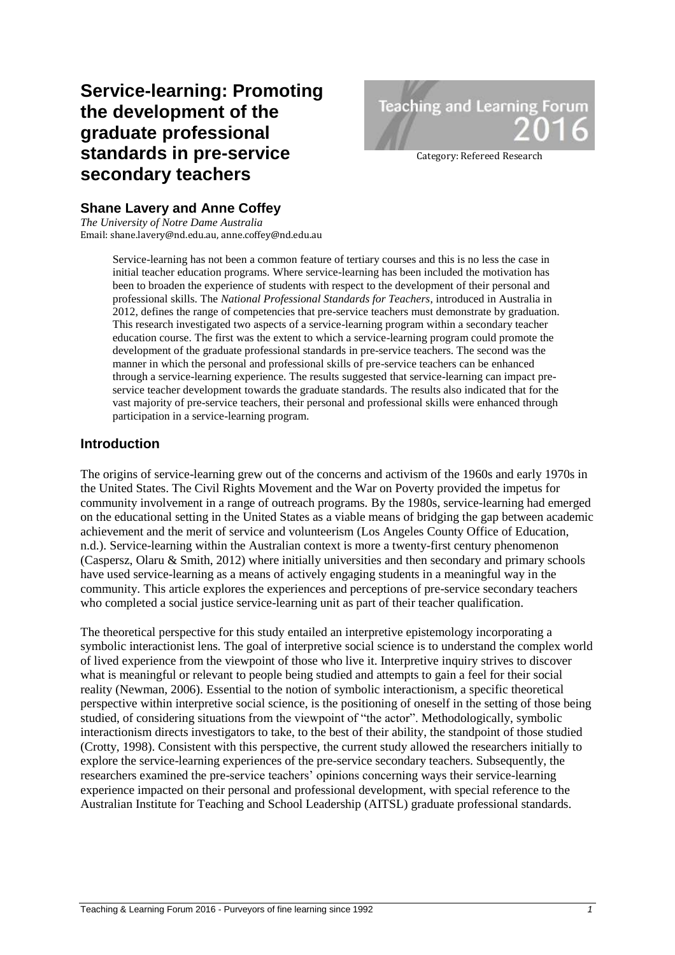# **Service-learning: Promoting the development of the graduate professional standards in pre-service secondary teachers**



Category: Refereed Research

# **Shane Lavery and Anne Coffey**

*The University of Notre Dame Australia* Email: shane.lavery@nd.edu.au, anne.coffey@nd.edu.au

> Service-learning has not been a common feature of tertiary courses and this is no less the case in initial teacher education programs. Where service-learning has been included the motivation has been to broaden the experience of students with respect to the development of their personal and professional skills. The *National Professional Standards for Teachers*, introduced in Australia in 2012, defines the range of competencies that pre-service teachers must demonstrate by graduation. This research investigated two aspects of a service-learning program within a secondary teacher education course. The first was the extent to which a service-learning program could promote the development of the graduate professional standards in pre-service teachers. The second was the manner in which the personal and professional skills of pre-service teachers can be enhanced through a service-learning experience. The results suggested that service-learning can impact preservice teacher development towards the graduate standards. The results also indicated that for the vast majority of pre-service teachers, their personal and professional skills were enhanced through participation in a service-learning program.

## **Introduction**

The origins of service-learning grew out of the concerns and activism of the 1960s and early 1970s in the United States. The Civil Rights Movement and the War on Poverty provided the impetus for community involvement in a range of outreach programs. By the 1980s, service-learning had emerged on the educational setting in the United States as a viable means of bridging the gap between academic achievement and the merit of service and volunteerism (Los Angeles County Office of Education, n.d.). Service-learning within the Australian context is more a twenty-first century phenomenon (Caspersz, Olaru & Smith, 2012) where initially universities and then secondary and primary schools have used service-learning as a means of actively engaging students in a meaningful way in the community. This article explores the experiences and perceptions of pre-service secondary teachers who completed a social justice service-learning unit as part of their teacher qualification.

The theoretical perspective for this study entailed an interpretive epistemology incorporating a symbolic interactionist lens. The goal of interpretive social science is to understand the complex world of lived experience from the viewpoint of those who live it. Interpretive inquiry strives to discover what is meaningful or relevant to people being studied and attempts to gain a feel for their social reality (Newman, 2006). Essential to the notion of symbolic interactionism, a specific theoretical perspective within interpretive social science, is the positioning of oneself in the setting of those being studied, of considering situations from the viewpoint of "the actor". Methodologically, symbolic interactionism directs investigators to take, to the best of their ability, the standpoint of those studied (Crotty, 1998). Consistent with this perspective, the current study allowed the researchers initially to explore the service-learning experiences of the pre-service secondary teachers. Subsequently, the researchers examined the pre-service teachers' opinions concerning ways their service-learning experience impacted on their personal and professional development, with special reference to the Australian Institute for Teaching and School Leadership (AITSL) graduate professional standards.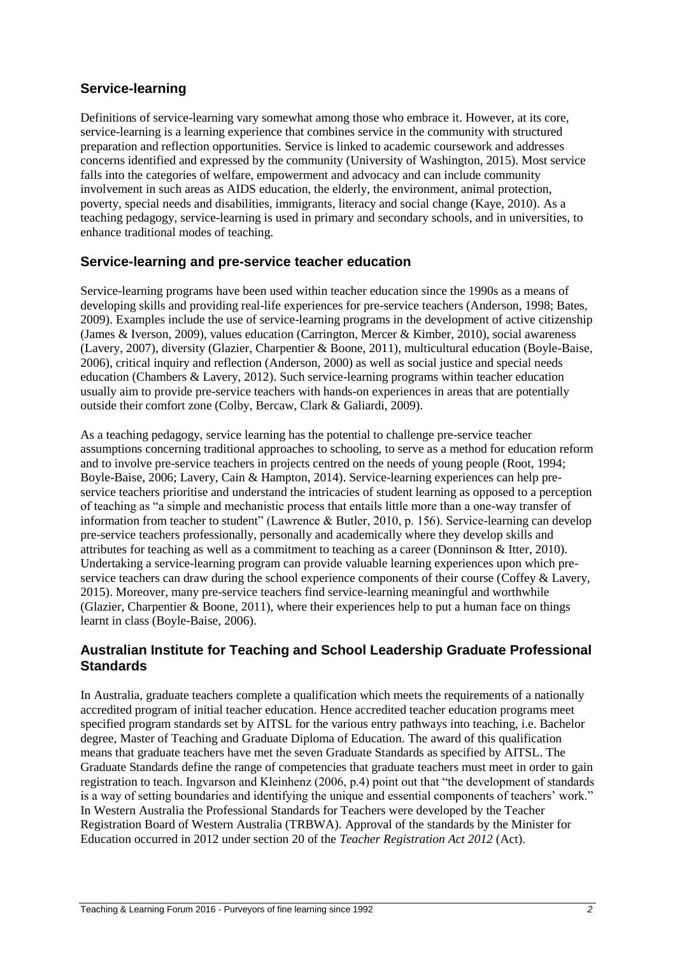# **Service-learning**

Definitions of service-learning vary somewhat among those who embrace it. However, at its core, service-learning is a learning experience that combines service in the community with structured preparation and reflection opportunities. Service is linked to academic coursework and addresses concerns identified and expressed by the community (University of Washington, 2015). Most service falls into the categories of welfare, empowerment and advocacy and can include community involvement in such areas as AIDS education, the elderly, the environment, animal protection, poverty, special needs and disabilities, immigrants, literacy and social change (Kaye, 2010). As a teaching pedagogy, service-learning is used in primary and secondary schools, and in universities, to enhance traditional modes of teaching.

# **Service-learning and pre-service teacher education**

Service-learning programs have been used within teacher education since the 1990s as a means of developing skills and providing real-life experiences for pre-service teachers (Anderson, 1998; Bates, 2009). Examples include the use of service-learning programs in the development of active citizenship (James & Iverson, 2009), values education (Carrington, Mercer & Kimber, 2010), social awareness (Lavery, 2007), diversity (Glazier, Charpentier & Boone, 2011), multicultural education (Boyle-Baise, 2006), critical inquiry and reflection (Anderson, 2000) as well as social justice and special needs education (Chambers & Lavery, 2012). Such service-learning programs within teacher education usually aim to provide pre-service teachers with hands-on experiences in areas that are potentially outside their comfort zone (Colby, Bercaw, Clark & Galiardi, 2009).

As a teaching pedagogy, service learning has the potential to challenge pre-service teacher assumptions concerning traditional approaches to schooling, to serve as a method for education reform and to involve pre-service teachers in projects centred on the needs of young people (Root, 1994; Boyle-Baise, 2006; Lavery, Cain & Hampton, 2014). Service-learning experiences can help preservice teachers prioritise and understand the intricacies of student learning as opposed to a perception of teaching as "a simple and mechanistic process that entails little more than a one-way transfer of information from teacher to student" (Lawrence & Butler, 2010, p. 156). Service-learning can develop pre-service teachers professionally, personally and academically where they develop skills and attributes for teaching as well as a commitment to teaching as a career (Donninson & Itter, 2010). Undertaking a service-learning program can provide valuable learning experiences upon which preservice teachers can draw during the school experience components of their course (Coffey & Lavery, 2015). Moreover, many pre-service teachers find service-learning meaningful and worthwhile (Glazier, Charpentier & Boone, 2011), where their experiences help to put a human face on things learnt in class (Boyle-Baise, 2006).

# **Australian Institute for Teaching and School Leadership Graduate Professional Standards**

In Australia, graduate teachers complete a qualification which meets the requirements of a nationally accredited program of initial teacher education. Hence accredited teacher education programs meet specified program standards set by AITSL for the various entry pathways into teaching, i.e. Bachelor degree, Master of Teaching and Graduate Diploma of Education. The award of this qualification means that graduate teachers have met the seven Graduate Standards as specified by AITSL. The Graduate Standards define the range of competencies that graduate teachers must meet in order to gain registration to teach. Ingvarson and Kleinhenz (2006, p.4) point out that "the development of standards is a way of setting boundaries and identifying the unique and essential components of teachers' work." In Western Australia the Professional Standards for Teachers were developed by the Teacher Registration Board of Western Australia (TRBWA). Approval of the standards by the Minister for Education occurred in 2012 under section 20 of the *Teacher Registration Act 2012* (Act).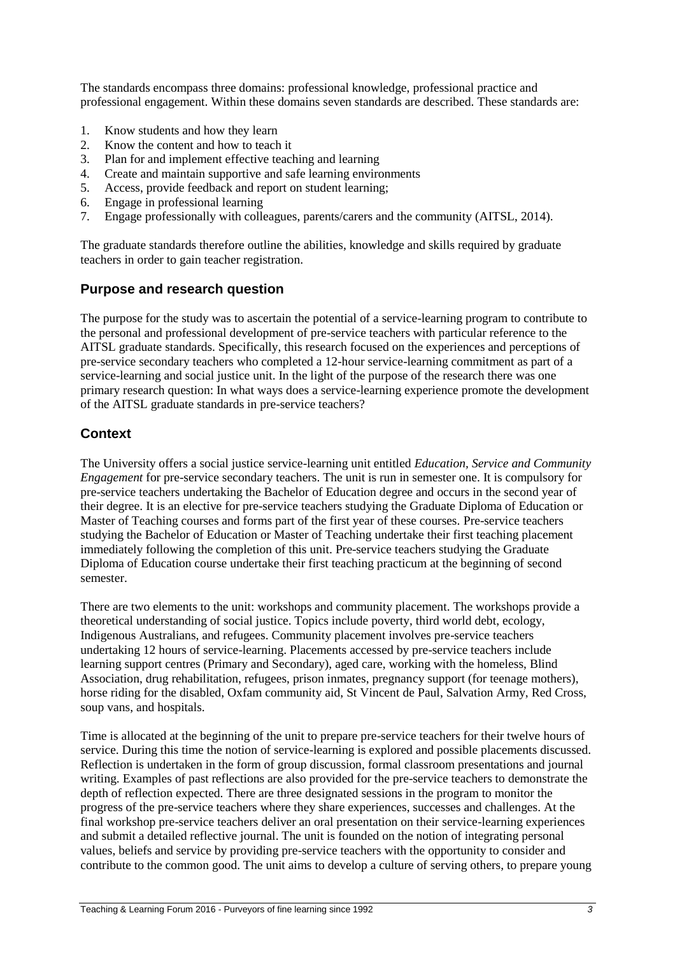The standards encompass three domains: professional knowledge, professional practice and professional engagement. Within these domains seven standards are described. These standards are:

- 1. Know students and how they learn<br>2. Know the content and how to teach
- 2. Know the content and how to teach it
- 3. Plan for and implement effective teaching and learning
- 4. Create and maintain supportive and safe learning environments
- 5. Access, provide feedback and report on student learning;
- 6. Engage in professional learning
- 7. Engage professionally with colleagues, parents/carers and the community (AITSL, 2014).

The graduate standards therefore outline the abilities, knowledge and skills required by graduate teachers in order to gain teacher registration.

# **Purpose and research question**

The purpose for the study was to ascertain the potential of a service-learning program to contribute to the personal and professional development of pre-service teachers with particular reference to the AITSL graduate standards. Specifically, this research focused on the experiences and perceptions of pre-service secondary teachers who completed a 12-hour service-learning commitment as part of a service-learning and social justice unit. In the light of the purpose of the research there was one primary research question: In what ways does a service-learning experience promote the development of the AITSL graduate standards in pre-service teachers?

# **Context**

The University offers a social justice service-learning unit entitled *Education, Service and Community Engagement* for pre-service secondary teachers. The unit is run in semester one. It is compulsory for pre-service teachers undertaking the Bachelor of Education degree and occurs in the second year of their degree. It is an elective for pre-service teachers studying the Graduate Diploma of Education or Master of Teaching courses and forms part of the first year of these courses. Pre-service teachers studying the Bachelor of Education or Master of Teaching undertake their first teaching placement immediately following the completion of this unit. Pre-service teachers studying the Graduate Diploma of Education course undertake their first teaching practicum at the beginning of second semester.

There are two elements to the unit: workshops and community placement. The workshops provide a theoretical understanding of social justice. Topics include poverty, third world debt, ecology, Indigenous Australians, and refugees. Community placement involves pre-service teachers undertaking 12 hours of service-learning. Placements accessed by pre-service teachers include learning support centres (Primary and Secondary), aged care, working with the homeless, Blind Association, drug rehabilitation, refugees, prison inmates, pregnancy support (for teenage mothers), horse riding for the disabled, Oxfam community aid, St Vincent de Paul, Salvation Army, Red Cross, soup vans, and hospitals.

Time is allocated at the beginning of the unit to prepare pre-service teachers for their twelve hours of service. During this time the notion of service-learning is explored and possible placements discussed. Reflection is undertaken in the form of group discussion, formal classroom presentations and journal writing. Examples of past reflections are also provided for the pre-service teachers to demonstrate the depth of reflection expected. There are three designated sessions in the program to monitor the progress of the pre-service teachers where they share experiences, successes and challenges. At the final workshop pre-service teachers deliver an oral presentation on their service-learning experiences and submit a detailed reflective journal. The unit is founded on the notion of integrating personal values, beliefs and service by providing pre-service teachers with the opportunity to consider and contribute to the common good. The unit aims to develop a culture of serving others, to prepare young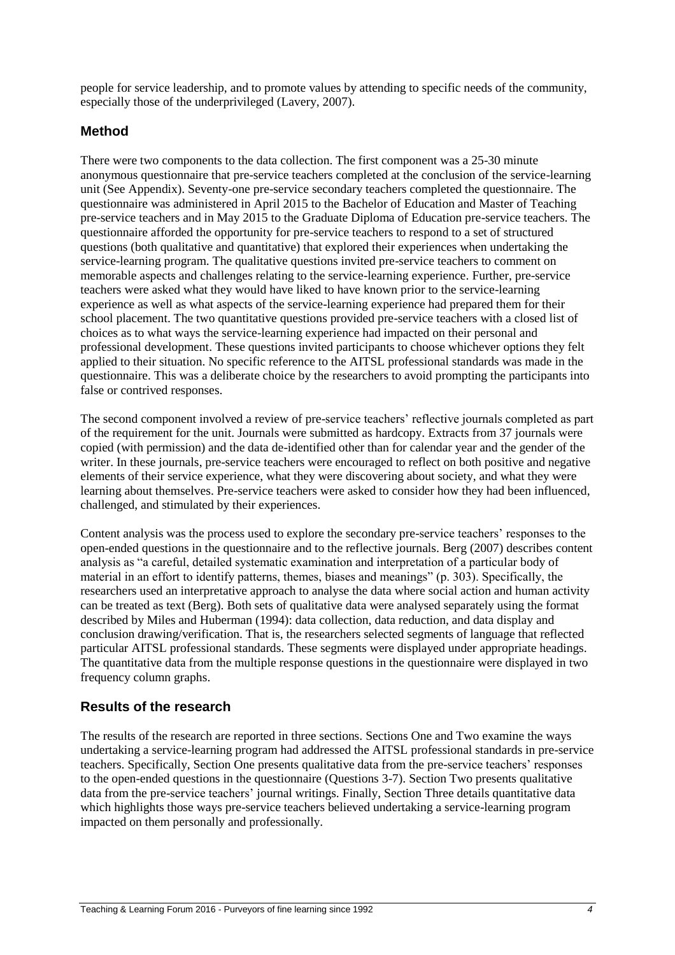people for service leadership, and to promote values by attending to specific needs of the community, especially those of the underprivileged (Lavery, 2007).

# **Method**

There were two components to the data collection. The first component was a 25-30 minute anonymous questionnaire that pre-service teachers completed at the conclusion of the service-learning unit (See Appendix). Seventy-one pre-service secondary teachers completed the questionnaire. The questionnaire was administered in April 2015 to the Bachelor of Education and Master of Teaching pre-service teachers and in May 2015 to the Graduate Diploma of Education pre-service teachers. The questionnaire afforded the opportunity for pre-service teachers to respond to a set of structured questions (both qualitative and quantitative) that explored their experiences when undertaking the service-learning program. The qualitative questions invited pre-service teachers to comment on memorable aspects and challenges relating to the service-learning experience. Further, pre-service teachers were asked what they would have liked to have known prior to the service-learning experience as well as what aspects of the service-learning experience had prepared them for their school placement. The two quantitative questions provided pre-service teachers with a closed list of choices as to what ways the service-learning experience had impacted on their personal and professional development. These questions invited participants to choose whichever options they felt applied to their situation. No specific reference to the AITSL professional standards was made in the questionnaire. This was a deliberate choice by the researchers to avoid prompting the participants into false or contrived responses.

The second component involved a review of pre-service teachers' reflective journals completed as part of the requirement for the unit. Journals were submitted as hardcopy. Extracts from 37 journals were copied (with permission) and the data de-identified other than for calendar year and the gender of the writer. In these journals, pre-service teachers were encouraged to reflect on both positive and negative elements of their service experience, what they were discovering about society, and what they were learning about themselves. Pre-service teachers were asked to consider how they had been influenced, challenged, and stimulated by their experiences.

Content analysis was the process used to explore the secondary pre-service teachers' responses to the open-ended questions in the questionnaire and to the reflective journals. Berg (2007) describes content analysis as "a careful, detailed systematic examination and interpretation of a particular body of material in an effort to identify patterns, themes, biases and meanings" (p. 303). Specifically, the researchers used an interpretative approach to analyse the data where social action and human activity can be treated as text (Berg). Both sets of qualitative data were analysed separately using the format described by Miles and Huberman (1994): data collection, data reduction, and data display and conclusion drawing/verification. That is, the researchers selected segments of language that reflected particular AITSL professional standards. These segments were displayed under appropriate headings. The quantitative data from the multiple response questions in the questionnaire were displayed in two frequency column graphs.

# **Results of the research**

The results of the research are reported in three sections. Sections One and Two examine the ways undertaking a service-learning program had addressed the AITSL professional standards in pre-service teachers. Specifically, Section One presents qualitative data from the pre-service teachers' responses to the open-ended questions in the questionnaire (Questions 3-7). Section Two presents qualitative data from the pre-service teachers' journal writings. Finally, Section Three details quantitative data which highlights those ways pre-service teachers believed undertaking a service-learning program impacted on them personally and professionally.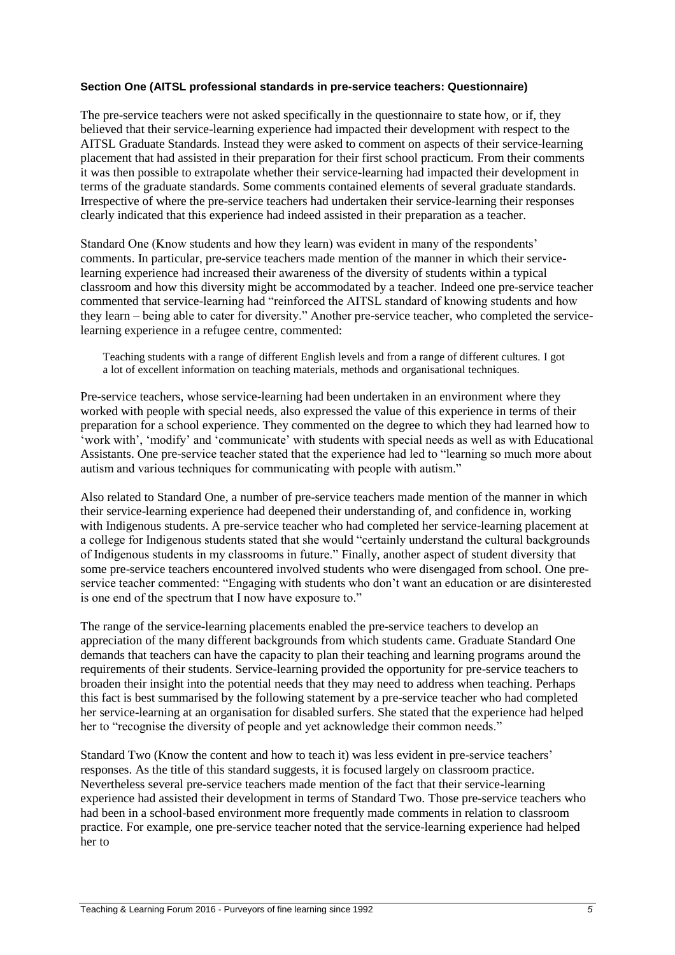#### **Section One (AITSL professional standards in pre-service teachers: Questionnaire)**

The pre-service teachers were not asked specifically in the questionnaire to state how, or if, they believed that their service-learning experience had impacted their development with respect to the AITSL Graduate Standards. Instead they were asked to comment on aspects of their service-learning placement that had assisted in their preparation for their first school practicum. From their comments it was then possible to extrapolate whether their service-learning had impacted their development in terms of the graduate standards. Some comments contained elements of several graduate standards. Irrespective of where the pre-service teachers had undertaken their service-learning their responses clearly indicated that this experience had indeed assisted in their preparation as a teacher.

Standard One (Know students and how they learn) was evident in many of the respondents' comments. In particular, pre-service teachers made mention of the manner in which their servicelearning experience had increased their awareness of the diversity of students within a typical classroom and how this diversity might be accommodated by a teacher. Indeed one pre-service teacher commented that service-learning had "reinforced the AITSL standard of knowing students and how they learn – being able to cater for diversity." Another pre-service teacher, who completed the servicelearning experience in a refugee centre, commented:

Teaching students with a range of different English levels and from a range of different cultures. I got a lot of excellent information on teaching materials, methods and organisational techniques.

Pre-service teachers, whose service-learning had been undertaken in an environment where they worked with people with special needs, also expressed the value of this experience in terms of their preparation for a school experience. They commented on the degree to which they had learned how to 'work with', 'modify' and 'communicate' with students with special needs as well as with Educational Assistants. One pre-service teacher stated that the experience had led to "learning so much more about autism and various techniques for communicating with people with autism."

Also related to Standard One, a number of pre-service teachers made mention of the manner in which their service-learning experience had deepened their understanding of, and confidence in, working with Indigenous students. A pre-service teacher who had completed her service-learning placement at a college for Indigenous students stated that she would "certainly understand the cultural backgrounds of Indigenous students in my classrooms in future." Finally, another aspect of student diversity that some pre-service teachers encountered involved students who were disengaged from school. One preservice teacher commented: "Engaging with students who don't want an education or are disinterested is one end of the spectrum that I now have exposure to."

The range of the service-learning placements enabled the pre-service teachers to develop an appreciation of the many different backgrounds from which students came. Graduate Standard One demands that teachers can have the capacity to plan their teaching and learning programs around the requirements of their students. Service-learning provided the opportunity for pre-service teachers to broaden their insight into the potential needs that they may need to address when teaching. Perhaps this fact is best summarised by the following statement by a pre-service teacher who had completed her service-learning at an organisation for disabled surfers. She stated that the experience had helped her to "recognise the diversity of people and yet acknowledge their common needs."

Standard Two (Know the content and how to teach it) was less evident in pre-service teachers' responses. As the title of this standard suggests, it is focused largely on classroom practice. Nevertheless several pre-service teachers made mention of the fact that their service-learning experience had assisted their development in terms of Standard Two. Those pre-service teachers who had been in a school-based environment more frequently made comments in relation to classroom practice. For example, one pre-service teacher noted that the service-learning experience had helped her to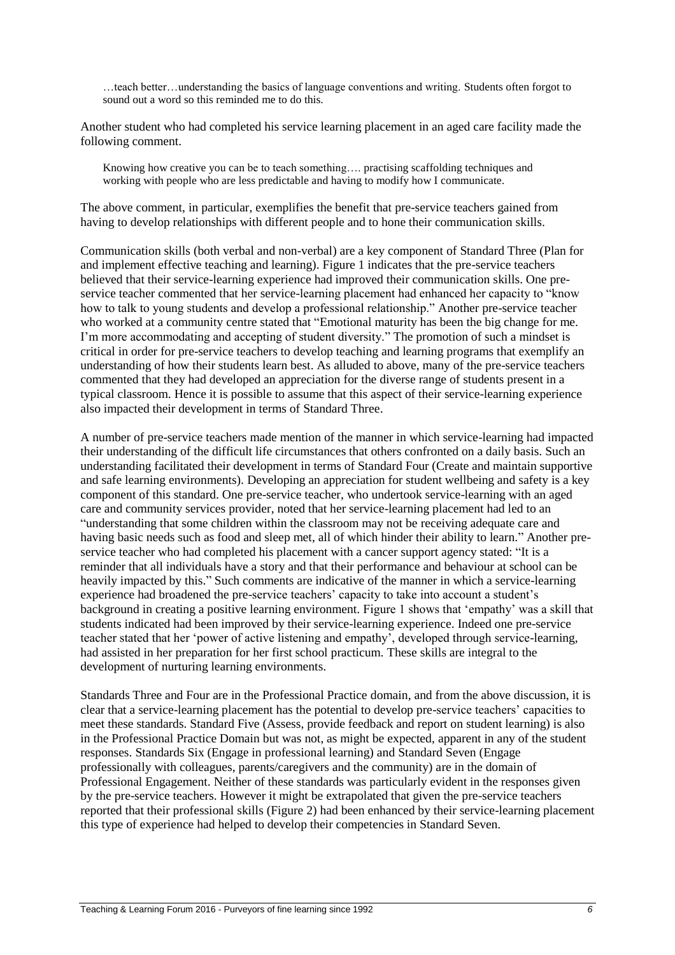…teach better…understanding the basics of language conventions and writing. Students often forgot to sound out a word so this reminded me to do this.

Another student who had completed his service learning placement in an aged care facility made the following comment.

Knowing how creative you can be to teach something…. practising scaffolding techniques and working with people who are less predictable and having to modify how I communicate.

The above comment, in particular, exemplifies the benefit that pre-service teachers gained from having to develop relationships with different people and to hone their communication skills.

Communication skills (both verbal and non-verbal) are a key component of Standard Three (Plan for and implement effective teaching and learning). Figure 1 indicates that the pre-service teachers believed that their service-learning experience had improved their communication skills. One preservice teacher commented that her service-learning placement had enhanced her capacity to "know how to talk to young students and develop a professional relationship." Another pre-service teacher who worked at a community centre stated that "Emotional maturity has been the big change for me. I'm more accommodating and accepting of student diversity." The promotion of such a mindset is critical in order for pre-service teachers to develop teaching and learning programs that exemplify an understanding of how their students learn best. As alluded to above, many of the pre-service teachers commented that they had developed an appreciation for the diverse range of students present in a typical classroom. Hence it is possible to assume that this aspect of their service-learning experience also impacted their development in terms of Standard Three.

A number of pre-service teachers made mention of the manner in which service-learning had impacted their understanding of the difficult life circumstances that others confronted on a daily basis. Such an understanding facilitated their development in terms of Standard Four (Create and maintain supportive and safe learning environments). Developing an appreciation for student wellbeing and safety is a key component of this standard. One pre-service teacher, who undertook service-learning with an aged care and community services provider, noted that her service-learning placement had led to an "understanding that some children within the classroom may not be receiving adequate care and having basic needs such as food and sleep met, all of which hinder their ability to learn." Another preservice teacher who had completed his placement with a cancer support agency stated: "It is a reminder that all individuals have a story and that their performance and behaviour at school can be heavily impacted by this." Such comments are indicative of the manner in which a service-learning experience had broadened the pre-service teachers' capacity to take into account a student's background in creating a positive learning environment. Figure 1 shows that 'empathy' was a skill that students indicated had been improved by their service-learning experience. Indeed one pre-service teacher stated that her 'power of active listening and empathy', developed through service-learning, had assisted in her preparation for her first school practicum. These skills are integral to the development of nurturing learning environments.

Standards Three and Four are in the Professional Practice domain, and from the above discussion, it is clear that a service-learning placement has the potential to develop pre-service teachers' capacities to meet these standards. Standard Five (Assess, provide feedback and report on student learning) is also in the Professional Practice Domain but was not, as might be expected, apparent in any of the student responses. Standards Six (Engage in professional learning) and Standard Seven (Engage professionally with colleagues, parents/caregivers and the community) are in the domain of Professional Engagement. Neither of these standards was particularly evident in the responses given by the pre-service teachers. However it might be extrapolated that given the pre-service teachers reported that their professional skills (Figure 2) had been enhanced by their service-learning placement this type of experience had helped to develop their competencies in Standard Seven.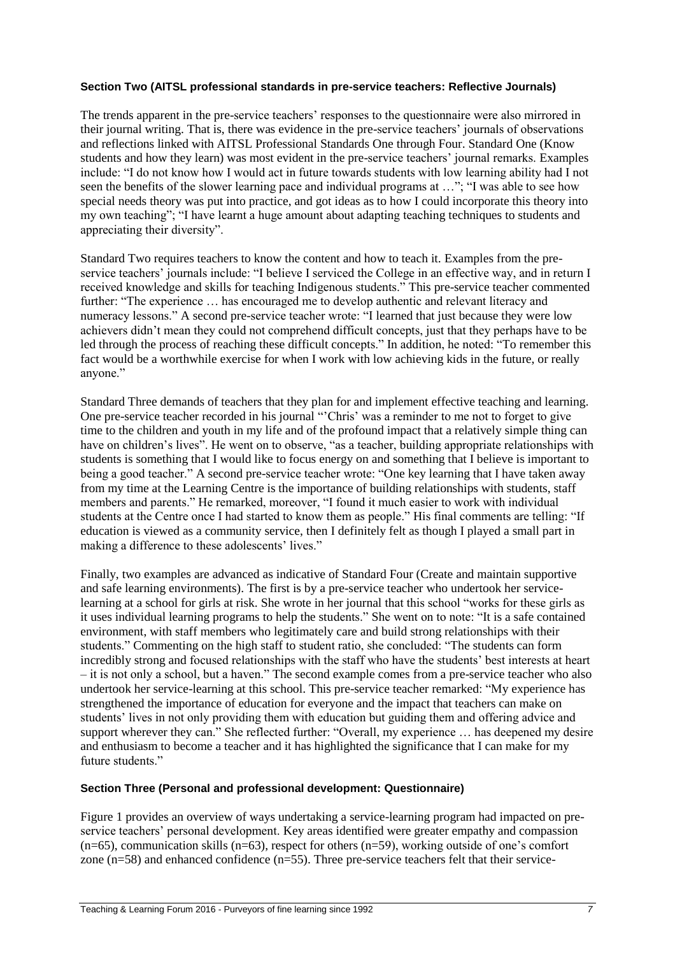#### **Section Two (AITSL professional standards in pre-service teachers: Reflective Journals)**

The trends apparent in the pre-service teachers' responses to the questionnaire were also mirrored in their journal writing. That is, there was evidence in the pre-service teachers' journals of observations and reflections linked with AITSL Professional Standards One through Four. Standard One (Know students and how they learn) was most evident in the pre-service teachers' journal remarks. Examples include: "I do not know how I would act in future towards students with low learning ability had I not seen the benefits of the slower learning pace and individual programs at …"; "I was able to see how special needs theory was put into practice, and got ideas as to how I could incorporate this theory into my own teaching"; "I have learnt a huge amount about adapting teaching techniques to students and appreciating their diversity".

Standard Two requires teachers to know the content and how to teach it. Examples from the preservice teachers' journals include: "I believe I serviced the College in an effective way, and in return I received knowledge and skills for teaching Indigenous students." This pre-service teacher commented further: "The experience … has encouraged me to develop authentic and relevant literacy and numeracy lessons." A second pre-service teacher wrote: "I learned that just because they were low achievers didn't mean they could not comprehend difficult concepts, just that they perhaps have to be led through the process of reaching these difficult concepts." In addition, he noted: "To remember this fact would be a worthwhile exercise for when I work with low achieving kids in the future, or really anyone."

Standard Three demands of teachers that they plan for and implement effective teaching and learning. One pre-service teacher recorded in his journal "'Chris' was a reminder to me not to forget to give time to the children and youth in my life and of the profound impact that a relatively simple thing can have on children's lives". He went on to observe, "as a teacher, building appropriate relationships with students is something that I would like to focus energy on and something that I believe is important to being a good teacher." A second pre-service teacher wrote: "One key learning that I have taken away from my time at the Learning Centre is the importance of building relationships with students, staff members and parents." He remarked, moreover, "I found it much easier to work with individual students at the Centre once I had started to know them as people." His final comments are telling: "If education is viewed as a community service, then I definitely felt as though I played a small part in making a difference to these adolescents' lives."

Finally, two examples are advanced as indicative of Standard Four (Create and maintain supportive and safe learning environments). The first is by a pre-service teacher who undertook her servicelearning at a school for girls at risk. She wrote in her journal that this school "works for these girls as it uses individual learning programs to help the students." She went on to note: "It is a safe contained environment, with staff members who legitimately care and build strong relationships with their students." Commenting on the high staff to student ratio, she concluded: "The students can form incredibly strong and focused relationships with the staff who have the students' best interests at heart – it is not only a school, but a haven." The second example comes from a pre-service teacher who also undertook her service-learning at this school. This pre-service teacher remarked: "My experience has strengthened the importance of education for everyone and the impact that teachers can make on students' lives in not only providing them with education but guiding them and offering advice and support wherever they can." She reflected further: "Overall, my experience … has deepened my desire and enthusiasm to become a teacher and it has highlighted the significance that I can make for my future students."

#### **Section Three (Personal and professional development: Questionnaire)**

Figure 1 provides an overview of ways undertaking a service-learning program had impacted on preservice teachers' personal development. Key areas identified were greater empathy and compassion  $(n=65)$ , communication skills  $(n=63)$ , respect for others  $(n=59)$ , working outside of one's comfort zone  $(n=58)$  and enhanced confidence  $(n=55)$ . Three pre-service teachers felt that their service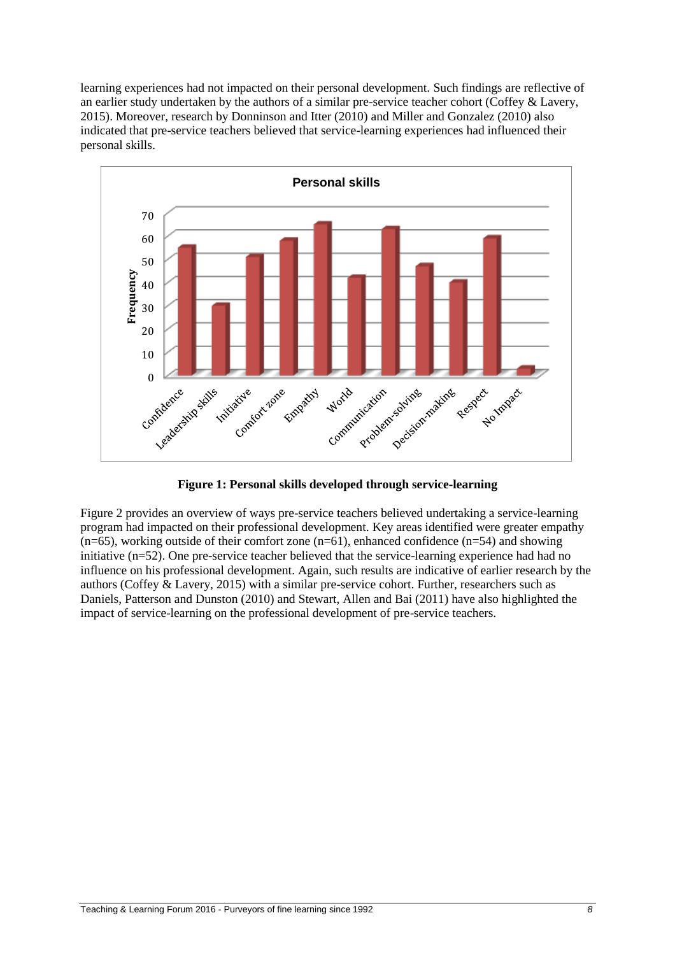learning experiences had not impacted on their personal development. Such findings are reflective of an earlier study undertaken by the authors of a similar pre-service teacher cohort (Coffey & Lavery, 2015). Moreover, research by Donninson and Itter (2010) and Miller and Gonzalez (2010) also indicated that pre-service teachers believed that service-learning experiences had influenced their personal skills.



**Figure 1: Personal skills developed through service-learning**

Figure 2 provides an overview of ways pre-service teachers believed undertaking a service-learning program had impacted on their professional development. Key areas identified were greater empathy  $(n=65)$ , working outside of their comfort zone  $(n=61)$ , enhanced confidence  $(n=54)$  and showing initiative (n=52). One pre-service teacher believed that the service-learning experience had had no influence on his professional development. Again, such results are indicative of earlier research by the authors (Coffey & Lavery, 2015) with a similar pre-service cohort. Further, researchers such as Daniels, Patterson and Dunston (2010) and Stewart, Allen and Bai (2011) have also highlighted the impact of service-learning on the professional development of pre-service teachers.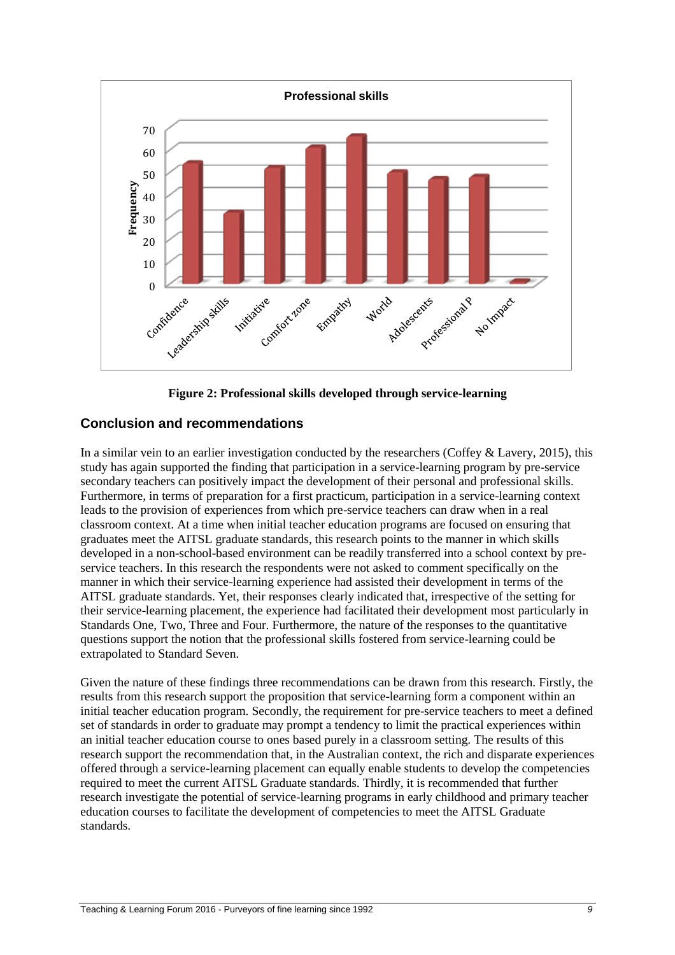

**Figure 2: Professional skills developed through service-learning**

# **Conclusion and recommendations**

In a similar vein to an earlier investigation conducted by the researchers (Coffey  $\&$  Lavery, 2015), this study has again supported the finding that participation in a service-learning program by pre-service secondary teachers can positively impact the development of their personal and professional skills. Furthermore, in terms of preparation for a first practicum, participation in a service-learning context leads to the provision of experiences from which pre-service teachers can draw when in a real classroom context. At a time when initial teacher education programs are focused on ensuring that graduates meet the AITSL graduate standards, this research points to the manner in which skills developed in a non-school-based environment can be readily transferred into a school context by preservice teachers. In this research the respondents were not asked to comment specifically on the manner in which their service-learning experience had assisted their development in terms of the AITSL graduate standards. Yet, their responses clearly indicated that, irrespective of the setting for their service-learning placement, the experience had facilitated their development most particularly in Standards One, Two, Three and Four. Furthermore, the nature of the responses to the quantitative questions support the notion that the professional skills fostered from service-learning could be extrapolated to Standard Seven.

Given the nature of these findings three recommendations can be drawn from this research. Firstly, the results from this research support the proposition that service-learning form a component within an initial teacher education program. Secondly, the requirement for pre-service teachers to meet a defined set of standards in order to graduate may prompt a tendency to limit the practical experiences within an initial teacher education course to ones based purely in a classroom setting. The results of this research support the recommendation that, in the Australian context, the rich and disparate experiences offered through a service-learning placement can equally enable students to develop the competencies required to meet the current AITSL Graduate standards. Thirdly, it is recommended that further research investigate the potential of service-learning programs in early childhood and primary teacher education courses to facilitate the development of competencies to meet the AITSL Graduate standards.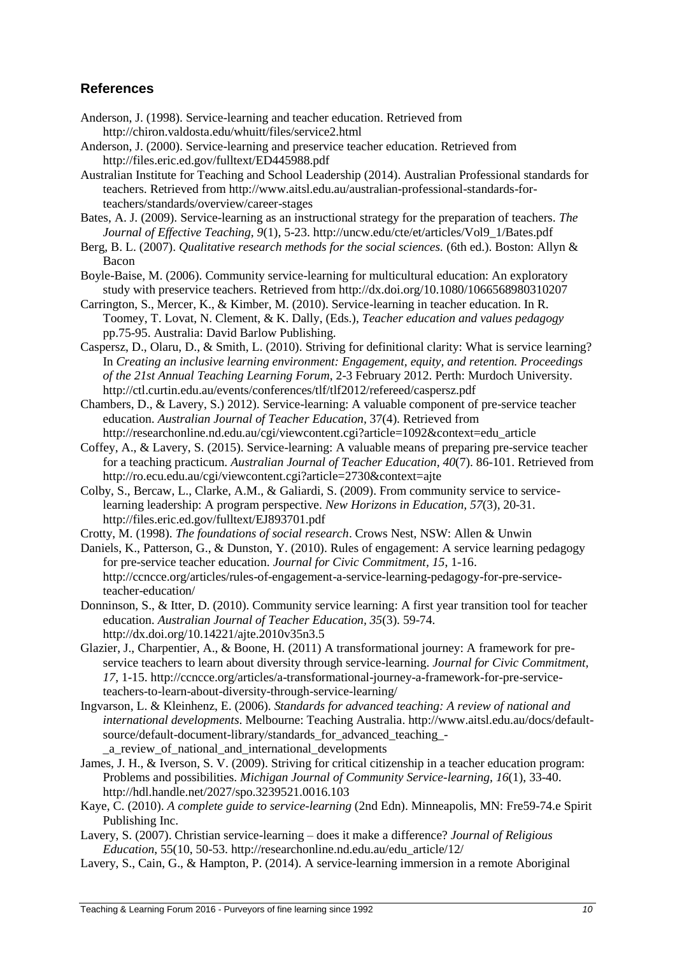# **References**

- Anderson, J. (1998). Service-learning and teacher education. Retrieved from http://chiron.valdosta.edu/whuitt/files/service2.html
- Anderson, J. (2000). Service-learning and preservice teacher education. Retrieved from <http://files.eric.ed.gov/fulltext/ED445988.pdf>
- Australian Institute for Teaching and School Leadership (2014). Australian Professional standards for teachers. Retrieved from [http://www.aitsl.edu.au/australian-professional-standards-for](http://www.aitsl.edu.au/australian-professional-standards-for-teachers/standards/overview/career-stages)[teachers/standards/overview/career-stages](http://www.aitsl.edu.au/australian-professional-standards-for-teachers/standards/overview/career-stages)
- Bates, A. J. (2009). Service-learning as an instructional strategy for the preparation of teachers. *The Journal of Effective Teaching, 9*(1), 5-23. http://uncw.edu/cte/et/articles/Vol9\_1/Bates.pdf
- Berg, B. L. (2007). *Qualitative research methods for the social sciences.* (6th ed.). Boston: Allyn & Bacon
- Boyle-Baise, M. (2006). Community service-learning for multicultural education: An exploratory study with preservice teachers. Retrieved from<http://dx.doi.org/10.1080/1066568980310207>
- Carrington, S., Mercer, K., & Kimber, M. (2010). Service-learning in teacher education. In R. Toomey, T. Lovat, N. Clement, & K. Dally, (Eds.), *Teacher education and values pedagogy* pp.75-95. Australia: David Barlow Publishing.
- Caspersz, D., Olaru, D., & Smith, L. (2010). Striving for definitional clarity: What is service learning? In *Creating an inclusive learning environment: Engagement, equity, and retention. Proceedings of the 21st Annual Teaching Learning Forum*, 2-3 February 2012. Perth: Murdoch University. <http://ctl.curtin.edu.au/events/conferences/tlf/tlf2012/refereed/caspersz.pdf>
- Chambers, D., & Lavery, S.) 2012). Service-learning: A valuable component of pre-service teacher education. *Australian Journal of Teacher Education,* 37(4). Retrieved from [http://researchonline.nd.edu.au/cgi/viewcontent.cgi?article=1092&context=edu\\_article](http://researchonline.nd.edu.au/cgi/viewcontent.cgi?article=1092&context=edu_article)
- Coffey, A., & Lavery, S. (2015). Service-learning: A valuable means of preparing pre-service teacher for a teaching practicum. *Australian Journal of Teacher Education, 40*(7). 86-101. Retrieved from <http://ro.ecu.edu.au/cgi/viewcontent.cgi?article=2730&context=ajte>
- Colby, S., Bercaw, L., Clarke, A.M., & Galiardi, S. (2009). From community service to servicelearning leadership: A program perspective. *New Horizons in Education, 57*(3), 20-31. http://files.eric.ed.gov/fulltext/EJ893701.pdf
- Crotty, M. (1998). *The foundations of social research*. Crows Nest, NSW: Allen & Unwin
- Daniels, K., Patterson, G., & Dunston, Y. (2010). Rules of engagement: A service learning pedagogy for pre-service teacher education. *Journal for Civic Commitment, 15*, 1-16. http://ccncce.org/articles/rules-of-engagement-a-service-learning-pedagogy-for-pre-serviceteacher-education/
- Donninson, S., & Itter, D. (2010). Community service learning: A first year transition tool for teacher education. *Australian Journal of Teacher Education, 35*(3). 59-74. http://dx.doi.org/10.14221/ajte.2010v35n3.5
- Glazier, J., Charpentier, A., & Boone, H. (2011) A transformational journey: A framework for preservice teachers to learn about diversity through service-learning. *Journal for Civic Commitment, 17*, 1-15. http://ccncce.org/articles/a-transformational-journey-a-framework-for-pre-serviceteachers-to-learn-about-diversity-through-service-learning/
- Ingvarson, L. & Kleinhenz, E. (2006). *Standards for advanced teaching: A review of national and international developments*. Melbourne: Teaching Australia. http://www.aitsl.edu.au/docs/defaultsource/default-document-library/standards\_for\_advanced\_teaching\_- \_a\_review\_of\_national\_and\_international\_developments
- James, J. H., & Iverson, S. V. (2009). Striving for critical citizenship in a teacher education program: Problems and possibilities. *Michigan Journal of Community Service-learning, 16*(1), 33-40. http://hdl.handle.net/2027/spo.3239521.0016.103
- Kaye, C. (2010). *A complete guide to service-learning* (2nd Edn). Minneapolis, MN: Fre59-74.e Spirit Publishing Inc.
- Lavery, S. (2007). Christian service-learning does it make a difference? *Journal of Religious Education*, 55(10, 50-53. http://researchonline.nd.edu.au/edu\_article/12/
- Lavery, S., Cain, G., & Hampton, P. (2014). A service-learning immersion in a remote Aboriginal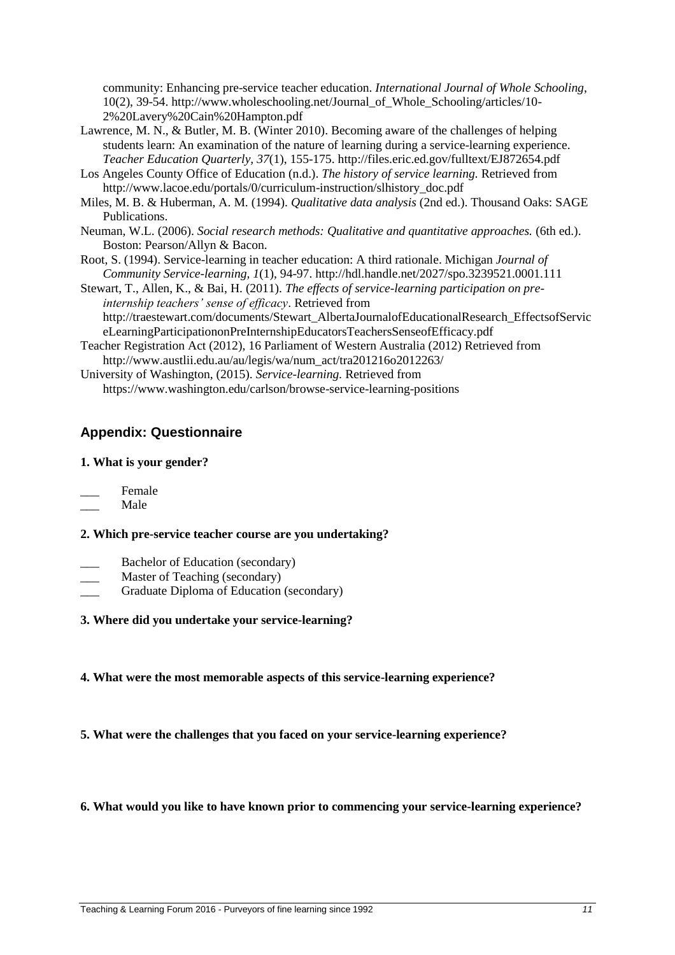community: Enhancing pre-service teacher education. *International Journal of Whole Schooling*, 10(2), 39-54. http://www.wholeschooling.net/Journal\_of\_Whole\_Schooling/articles/10- 2%20Lavery%20Cain%20Hampton.pdf

- Lawrence, M. N., & Butler, M. B. (Winter 2010). Becoming aware of the challenges of helping students learn: An examination of the nature of learning during a service-learning experience. *Teacher Education Quarterly, 37*(1), 155-175. http://files.eric.ed.gov/fulltext/EJ872654.pdf
- Los Angeles County Office of Education (n.d.). *The history of service learning.* Retrieved from [http://www.lacoe.edu/portals/0/curriculum-instruction/slhistory\\_doc.pdf](http://www.lacoe.edu/portals/0/curriculum-instruction/slhistory_doc.pdf)
- Miles, M. B. & Huberman, A. M. (1994). *Qualitative data analysis* (2nd ed.). Thousand Oaks: SAGE Publications.
- Neuman, W.L. (2006). *Social research methods: Qualitative and quantitative approaches.* (6th ed.). Boston: Pearson/Allyn & Bacon.
- Root, S. (1994). Service-learning in teacher education: A third rationale. Michigan *Journal of Community Service-learning, 1*(1), 94-97. http://hdl.handle.net/2027/spo.3239521.0001.111
- Stewart, T., Allen, K., & Bai, H. (2011). *The effects of service-learning participation on preinternship teachers' sense of efficacy*. Retrieved from [http://traestewart.com/documents/Stewart\\_AlbertaJournalofEducationalResearch\\_EffectsofServic](http://traestewart.com/documents/Stewart_AlbertaJournalofEducationalResearch_EffectsofService-LearningParticipationonPreInternshipEducatorsTeachersSenseofEfficacy.pdf) [eLearningParticipationonPreInternshipEducatorsTeachersSenseofEfficacy.pdf](http://traestewart.com/documents/Stewart_AlbertaJournalofEducationalResearch_EffectsofService-LearningParticipationonPreInternshipEducatorsTeachersSenseofEfficacy.pdf)
- Teacher Registration Act (2012), 16 Parliament of Western Australia (2012) Retrieved from [http://www.austlii.edu.au/au/legis/wa/num\\_act/tra201216o2012263/](http://www.austlii.edu.au/au/legis/wa/num_act/tra201216o2012263/)
- University of Washington, (2015). *Service-learning.* Retrieved from <https://www.washington.edu/carlson/browse-service-learning-positions>

# **Appendix: Questionnaire**

## **1. What is your gender?**

- Female
- \_\_\_ Male

### **2. Which pre-service teacher course are you undertaking?**

- Bachelor of Education (secondary)
- Master of Teaching (secondary)
- \_\_\_ Graduate Diploma of Education (secondary)

# **3. Where did you undertake your service-learning?**

- **4. What were the most memorable aspects of this service-learning experience?**
- **5. What were the challenges that you faced on your service-learning experience?**

### **6. What would you like to have known prior to commencing your service-learning experience?**